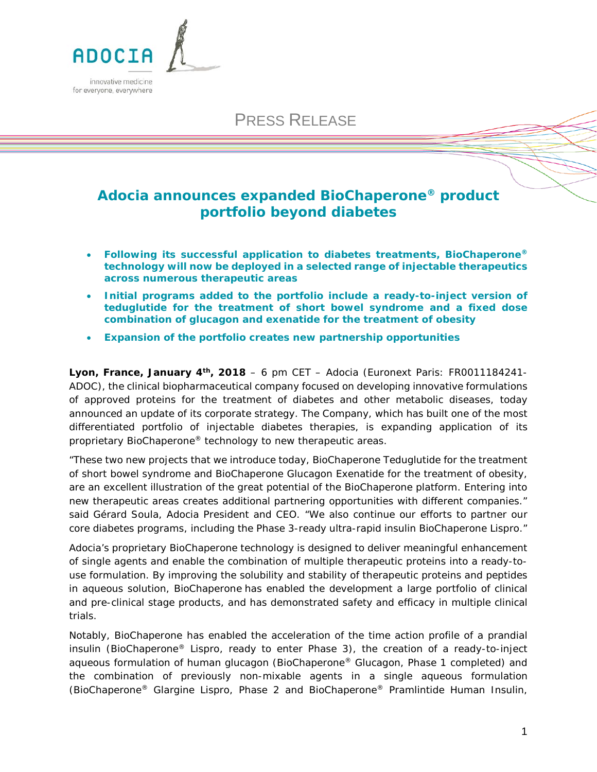

# PRESS RELEASE

## **Adocia announces expanded BioChaperone® product portfolio beyond diabetes**

- **Following its successful application to diabetes treatments, BioChaperone® technology will now be deployed in a selected range of injectable therapeutics across numerous therapeutic areas**
- **Initial programs added to the portfolio include a ready-to-inject version of teduglutide for the treatment of short bowel syndrome and a fixed dose combination of glucagon and exenatide for the treatment of obesity**
- **Expansion of the portfolio creates new partnership opportunities**

**Lyon, France, January 4th, 2018** – 6 pm CET – Adocia (Euronext Paris: FR0011184241- ADOC), the clinical biopharmaceutical company focused on developing innovative formulations of approved proteins for the treatment of diabetes and other metabolic diseases, today announced an update of its corporate strategy. The Company, which has built one of the most differentiated portfolio of injectable diabetes therapies, is expanding application of its proprietary BioChaperone® technology to new therapeutic areas.

*"These two new projects that we introduce today, BioChaperone Teduglutide for the treatment of short bowel syndrome and BioChaperone Glucagon Exenatide for the treatment of obesity, are an excellent illustration of the great potential of the BioChaperone platform. Entering into new therapeutic areas creates additional partnering opportunities with different companies."*  said Gérard Soula, Adocia President and CEO. "*We also continue our efforts to partner our core diabetes programs, including the Phase 3-ready ultra-rapid insulin BioChaperone Lispro."*

Adocia's proprietary BioChaperone technology is designed to deliver meaningful enhancement of single agents and enable the combination of multiple therapeutic proteins into a ready-touse formulation. By improving the solubility and stability of therapeutic proteins and peptides in aqueous solution, BioChaperone has enabled the development a large portfolio of clinical and pre-clinical stage products, and has demonstrated safety and efficacy in multiple clinical trials.

Notably, BioChaperone has enabled the acceleration of the time action profile of a prandial insulin (BioChaperone® Lispro, ready to enter Phase 3), the creation of a ready-to-inject aqueous formulation of human glucagon (BioChaperone® Glucagon, Phase 1 completed) and the combination of previously non-mixable agents in a single aqueous formulation (BioChaperone® Glargine Lispro, Phase 2 and BioChaperone® Pramlintide Human Insulin,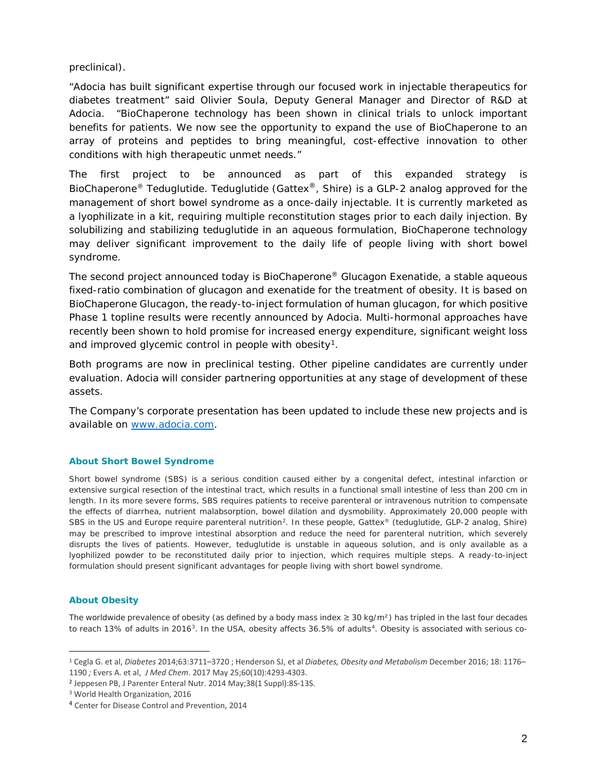preclinical).

"*Adocia has built significant expertise through our focused work in injectable therapeutics for diabetes treatment*" said Olivier Soula, Deputy General Manager and Director of R&D at Adocia. "*BioChaperone technology has been shown in clinical trials to unlock important benefits for patients*. *We now see the opportunity to expand the use of BioChaperone to an array of proteins and peptides to bring meaningful, cost-effective innovation to other conditions with high therapeutic unmet needs."*

The first project to be announced as part of this expanded strategy is BioChaperone<sup>®</sup> Teduglutide. Teduglutide (Gattex<sup>®</sup>, Shire) is a GLP-2 analog approved for the management of short bowel syndrome as a once-daily injectable. It is currently marketed as a lyophilizate in a kit, requiring multiple reconstitution stages prior to each daily injection. By solubilizing and stabilizing teduglutide in an aqueous formulation, BioChaperone technology may deliver significant improvement to the daily life of people living with short bowel syndrome.

The second project announced today is BioChaperone® Glucagon Exenatide, a stable aqueous fixed-ratio combination of glucagon and exenatide for the treatment of obesity. It is based on BioChaperone Glucagon, the ready-to-inject formulation of human glucagon, for which positive Phase 1 topline results were recently announced by Adocia. Multi-hormonal approaches have recently been shown to hold promise for increased energy expenditure, significant weight loss and improved glycemic control in people with obesity<sup>1</sup>.

Both programs are now in preclinical testing. Other pipeline candidates are currently under evaluation. Adocia will consider partnering opportunities at any stage of development of these assets.

The Company's corporate presentation has been updated to include these new projects and is available on [www.adocia.com.](http://www.adocia.com/)

#### **About Short Bowel Syndrome**

Short bowel syndrome (SBS) is a serious condition caused either by a congenital defect, intestinal infarction or extensive surgical resection of the intestinal tract, which results in a functional small intestine of less than 200 cm in length. In its more severe forms, SBS requires patients to receive parenteral or intravenous nutrition to compensate the effects of diarrhea, nutrient malabsorption, bowel dilation and dysmobility. Approximately 20,000 people with SBS in the US and Europe require parenteral nutrition<sup>[2](#page-1-1)</sup>. In these people, Gattex® (teduglutide, GLP-2 analog, Shire) may be prescribed to improve intestinal absorption and reduce the need for parenteral nutrition, which severely disrupts the lives of patients. However, teduglutide is unstable in aqueous solution, and is only available as a lyophilized powder to be reconstituted daily prior to injection, which requires multiple steps. A ready-to-inject formulation should present significant advantages for people living with short bowel syndrome.

#### **About Obesity**

The worldwide prevalence of obesity (as defined by a body mass index  $\geq 30$  kg/m<sup>2</sup>) has tripled in the last four decades to reach 1[3](#page-1-2)% of adults in 2016<sup>3</sup>. In the USA, obesity affects 36.5% of adults<sup>4</sup>. Obesity is associated with serious co-

<span id="page-1-0"></span> <sup>1</sup> Cegla G. et al, *Diabetes* 2014;63:3711–3720 ; Henderson SJ, et al *Diabetes, Obesity and Metabolism* December 2016; 18: 1176– 1190 *;* Evers A. et al, *J Med Chem*. 2017 May 25;60(10):4293-4303.

<span id="page-1-1"></span><sup>2</sup> Jeppesen PB, J Parenter Enteral Nutr. 2014 May;38(1 Suppl):8S-13S.

<span id="page-1-2"></span><sup>3</sup> World Health Organization, 2016

<span id="page-1-3"></span><sup>4</sup> Center for Disease Control and Prevention, 2014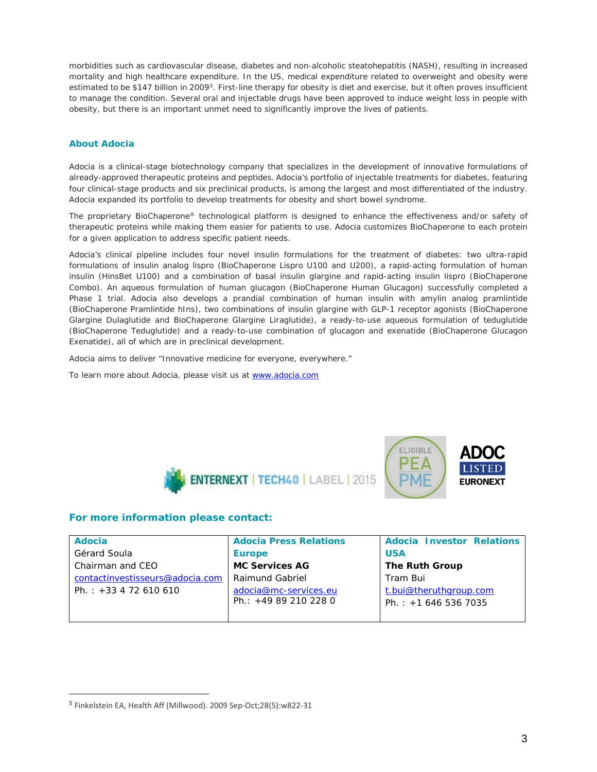morbidities such as cardiovascular disease, diabetes and non-alcoholic steatohepatitis (NASH), resulting in increased mortality and high healthcare expenditure. In the US, medical expenditure related to overweight and obesity were estimated to be \$147 billion in 2009<sup>[5](#page-2-0)</sup>. First-line therapy for obesity is diet and exercise, but it often proves insufficient to manage the condition. Several oral and injectable drugs have been approved to induce weight loss in people with obesity, but there is an important unmet need to significantly improve the lives of patients.

#### **About Adocia**

Adocia is a clinical-stage biotechnology company that specializes in the development of innovative formulations of already-approved therapeutic proteins and peptides. Adocia's portfolio of injectable treatments for diabetes, featuring four clinical-stage products and six preclinical products, is among the largest and most differentiated of the industry. Adocia expanded its portfolio to develop treatments for obesity and short bowel syndrome.

The proprietary BioChaperone® technological platform is designed to enhance the effectiveness and/or safety of therapeutic proteins while making them easier for patients to use. Adocia customizes BioChaperone to each protein for a given application to address specific patient needs.

Adocia's clinical pipeline includes four novel insulin formulations for the treatment of diabetes: two ultra-rapid formulations of insulin analog lispro (BioChaperone Lispro U100 and U200), a rapid-acting formulation of human insulin (HinsBet U100) and a combination of basal insulin glargine and rapid-acting insulin lispro (BioChaperone Combo). An aqueous formulation of human glucagon (BioChaperone Human Glucagon) successfully completed a Phase 1 trial. Adocia also develops a prandial combination of human insulin with amylin analog pramlintide (BioChaperone Pramlintide hIns), two combinations of insulin glargine with GLP-1 receptor agonists (BioChaperone Glargine Dulaglutide and BioChaperone Glargine Liraglutide), a ready-to-use aqueous formulation of teduglutide (BioChaperone Teduglutide) and a ready-to-use combination of glucagon and exenatide (BioChaperone Glucagon Exenatide), all of which are in preclinical development.

*Adocia aims to deliver "Innovative medicine for everyone, everywhere."*

To learn more about Adocia, please visit us a[t www.adocia.com](http://www.adocia.com/)





### **For more information please contact:**

| Adocia                          | <b>Adocia Press Relations</b> | <b>Adocia Investor Relations</b> |
|---------------------------------|-------------------------------|----------------------------------|
| Gérard Soula                    | <b>Europe</b>                 | <b>USA</b>                       |
| Chairman and CEO                | <b>MC Services AG</b>         | <b>The Ruth Group</b>            |
| contactinvestisseurs@adocia.com | Raimund Gabriel               | Tram Bui                         |
| Ph.: $+33$ 4 72 610 610         | adocia@mc-services.eu         | t.bui@theruthgroup.com           |
|                                 | Ph.: +49 89 210 228 0         | Ph.: $+16465367035$              |
|                                 |                               |                                  |

<span id="page-2-0"></span> <sup>5</sup> Finkelstein EA, Health Aff (Millwood). 2009 Sep-Oct;28(5):w822-31